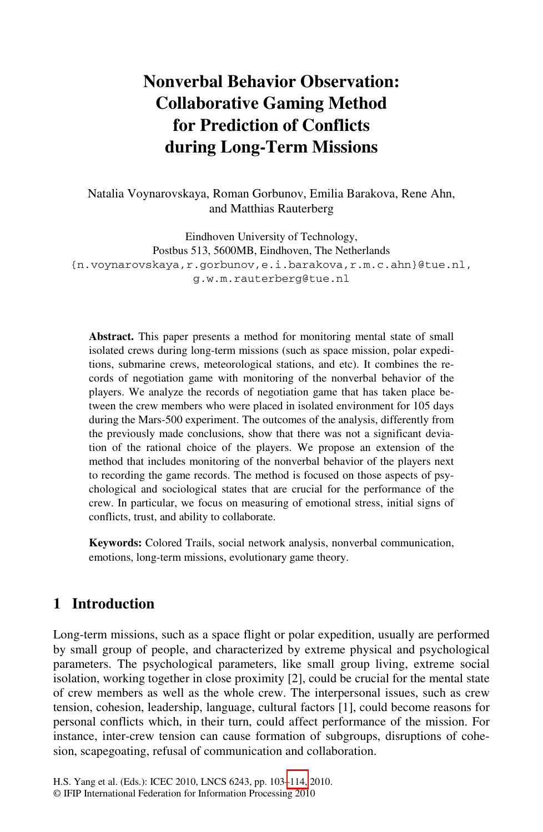# **Nonverbal Behavior Observation: Collaborative Gaming Method for Prediction of Conflicts during Long-Term Missions**

Natalia Voynarovskaya, Roman Gorbunov, Emilia Barakova, Rene Ahn, and Matthias Rauterberg

Eindhoven University of Technology, Postbus 513, 5600MB, Eindhoven, The Netherlands {n.voynarovskaya,r.gorbunov,e.i.barakova,r.m.c.ahn}@tue.nl, g.w.m.rauterberg@tue.nl

**Abstract.** This paper presents a method for monitoring mental state of small isolated crews during long-term missions (such as space mission, polar expeditions, submarine crews, meteorological stations, and etc). It combines the records of negotiation game with monitoring of the nonverbal behavior of the players. We analyze the records of negotiation game that has taken place between the crew members who were placed in isolated environment for 105 days during the Mars-500 experiment. The outcomes of the analysis, differently from the previously made conclusions, show that there was not a significant deviation of the rational choice of the players. We propose an extension of the method that includes monitoring of the nonverbal behavior of the players next to recording the game records. The method is focused on those aspects of psychological and sociological states that are crucial for the performance of the crew. In particular, we focus on measuring of emotional stress, initial signs of conflicts, trust, and ability to collaborate.

**Keywords:** Colored Trails, social network analysis, nonverbal communication, emotions, long-term missions, evolutionary game theory.

## **1 Introduction**

Long-term missions, such as a space flight or polar expedition, usually are performed by small group of people, and characterized by extreme physical and psychological parameters. The psychol[ogica](#page-11-0)l parameters, like small group living, extreme social isolation, working together in close proximity [2], could be crucial for the mental state of crew members as well as the whole crew. The interpersonal issues, such as crew tension, cohesion, leadership, language, cultural factors [1], could become reasons for personal conflicts which, in their turn, could affect performance of the mission. For instance, inter-crew tension can cause formation of subgroups, disruptions of cohesion, scapegoating, refusal of communication and collaboration.

H.S. Yang et al. (Eds.): ICEC 2010, LNCS 6243, pp. 103–114, 2010.

<sup>©</sup> IFIP International Federation for Information Processing 2010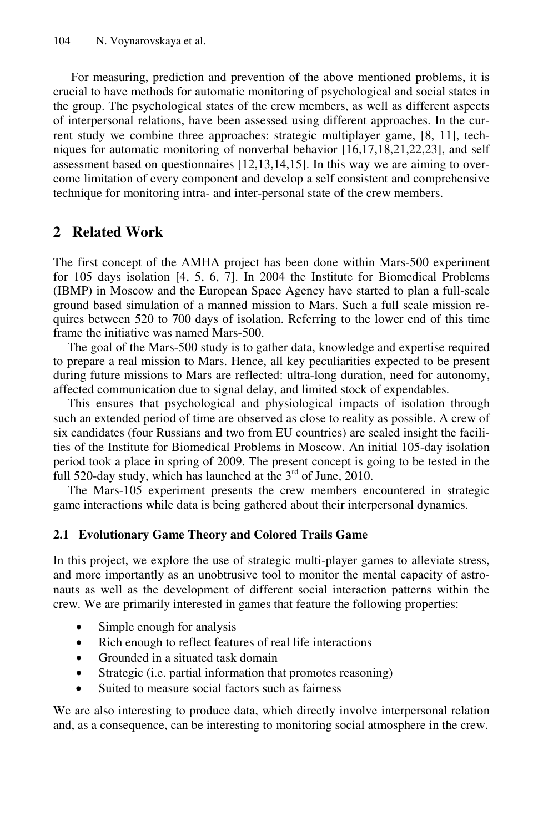For measuring, prediction and prevention of the above mentioned problems, it is crucial to have methods for automatic monitoring of psychological and social states in the group. The psychological states of the crew members, as well as different aspects of interpersonal relations, have been assessed using different approaches. In the current study we combine three approaches: strategic multiplayer game, [8, 11], techniques for automatic monitoring of nonverbal behavior [16,17,18,21,22,23], and self assessment based on questionnaires [12,13,14,15]. In this way we are aiming to overcome limitation of every component and develop a self consistent and comprehensive technique for monitoring intra- and inter-personal state of the crew members.

## **2 Related Work**

The first concept of the AMHA project has been done within Mars-500 experiment for 105 days isolation [4, 5, 6, 7]. In 2004 the Institute for Biomedical Problems (IBMP) in Moscow and the European Space Agency have started to plan a full-scale ground based simulation of a manned mission to Mars. Such a full scale mission requires between 520 to 700 days of isolation. Referring to the lower end of this time frame the initiative was named Mars-500.

The goal of the Mars-500 study is to gather data, knowledge and expertise required to prepare a real mission to Mars. Hence, all key peculiarities expected to be present during future missions to Mars are reflected: ultra-long duration, need for autonomy, affected communication due to signal delay, and limited stock of expendables.

This ensures that psychological and physiological impacts of isolation through such an extended period of time are observed as close to reality as possible. A crew of six candidates (four Russians and two from EU countries) are sealed insight the facilities of the Institute for Biomedical Problems in Moscow. An initial 105-day isolation period took a place in spring of 2009. The present concept is going to be tested in the full 520-day study, which has launched at the  $3<sup>rd</sup>$  of June, 2010.

The Mars-105 experiment presents the crew members encountered in strategic game interactions while data is being gathered about their interpersonal dynamics.

## **2.1 Evolutionary Game Theory and Colored Trails Game**

In this project, we explore the use of strategic multi-player games to alleviate stress, and more importantly as an unobtrusive tool to monitor the mental capacity of astronauts as well as the development of different social interaction patterns within the crew. We are primarily interested in games that feature the following properties:

- Simple enough for analysis
- Rich enough to reflect features of real life interactions
- Grounded in a situated task domain
- Strategic (i.e. partial information that promotes reasoning)
- Suited to measure social factors such as fairness

We are also interesting to produce data, which directly involve interpersonal relation and, as a consequence, can be interesting to monitoring social atmosphere in the crew.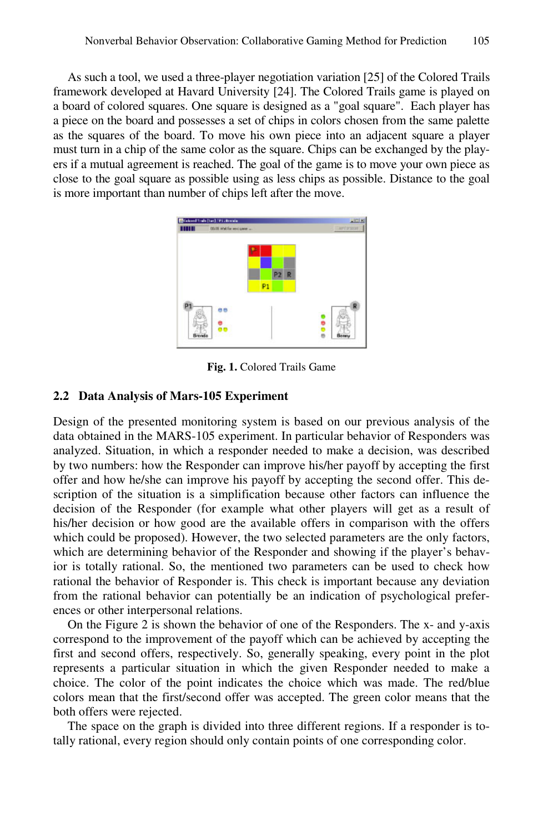As such a tool, we used a three-player negotiation variation [25] of the Colored Trails framework developed at Havard University [24]. The Colored Trails game is played on a board of colored squares. One square is designed as a "goal square". Each player has a piece on the board and possesses a set of chips in colors chosen from the same palette as the squares of the board. To move his own piece into an adjacent square a player must turn in a chip of the same color as the square. Chips can be exchanged by the players if a mutual agreement is reached. The goal of the game is to move your own piece as close to the goal square as possible using as less chips as possible. Distance to the goal is more important than number of chips left after the move.



**Fig. 1.** Colored Trails Game

#### **2.2 Data Analysis of Mars-105 Experiment**

Design of the presented monitoring system is based on our previous analysis of the data obtained in the MARS-105 experiment. In particular behavior of Responders was analyzed. Situation, in which a responder needed to make a decision, was described by two numbers: how the Responder can improve his/her payoff by accepting the first offer and how he/she can improve his payoff by accepting the second offer. This description of the situation is a simplification because other factors can influence the decision of the Responder (for example what other players will get as a result of his/her decision or how good are the available offers in comparison with the offers which could be proposed). However, the two selected parameters are the only factors, which are determining behavior of the Responder and showing if the player's behavior is totally rational. So, the mentioned two parameters can be used to check how rational the behavior of Responder is. This check is important because any deviation from the rational behavior can potentially be an indication of psychological preferences or other interpersonal relations.

On the Figure 2 is shown the behavior of one of the Responders. The x- and y-axis correspond to the improvement of the payoff which can be achieved by accepting the first and second offers, respectively. So, generally speaking, every point in the plot represents a particular situation in which the given Responder needed to make a choice. The color of the point indicates the choice which was made. The red/blue colors mean that the first/second offer was accepted. The green color means that the both offers were rejected.

The space on the graph is divided into three different regions. If a responder is totally rational, every region should only contain points of one corresponding color.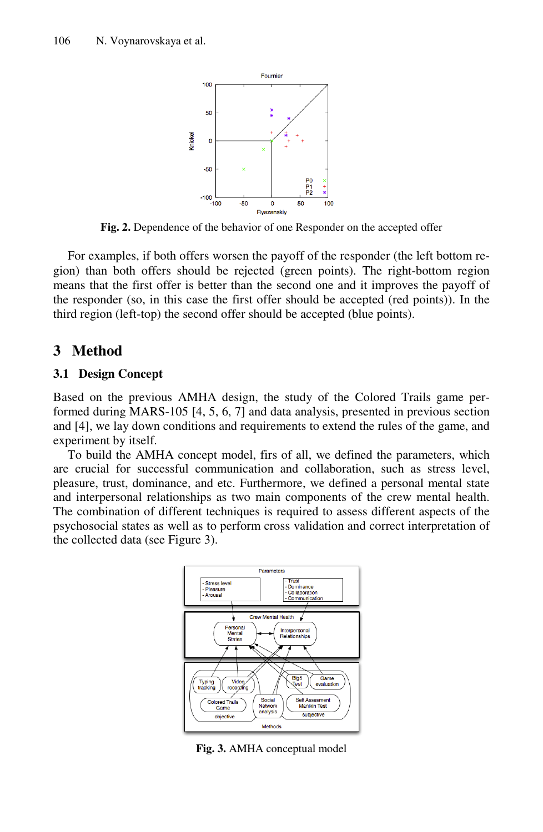

**Fig. 2.** Dependence of the behavior of one Responder on the accepted offer

For examples, if both offers worsen the payoff of the responder (the left bottom region) than both offers should be rejected (green points). The right-bottom region means that the first offer is better than the second one and it improves the payoff of the responder (so, in this case the first offer should be accepted (red points)). In the third region (left-top) the second offer should be accepted (blue points).

## **3 Method**

### **3.1 Design Concept**

Based on the previous AMHA design, the study of the Colored Trails game performed during MARS-105 [4, 5, 6, 7] and data analysis, presented in previous section and [4], we lay down conditions and requirements to extend the rules of the game, and experiment by itself.

To build the AMHA concept model, firs of all, we defined the parameters, which are crucial for successful communication and collaboration, such as stress level, pleasure, trust, dominance, and etc. Furthermore, we defined a personal mental state and interpersonal relationships as two main components of the crew mental health. The combination of different techniques is required to assess different aspects of the psychosocial states as well as to perform cross validation and correct interpretation of the collected data (see Figure 3).



**Fig. 3.** AMHA conceptual model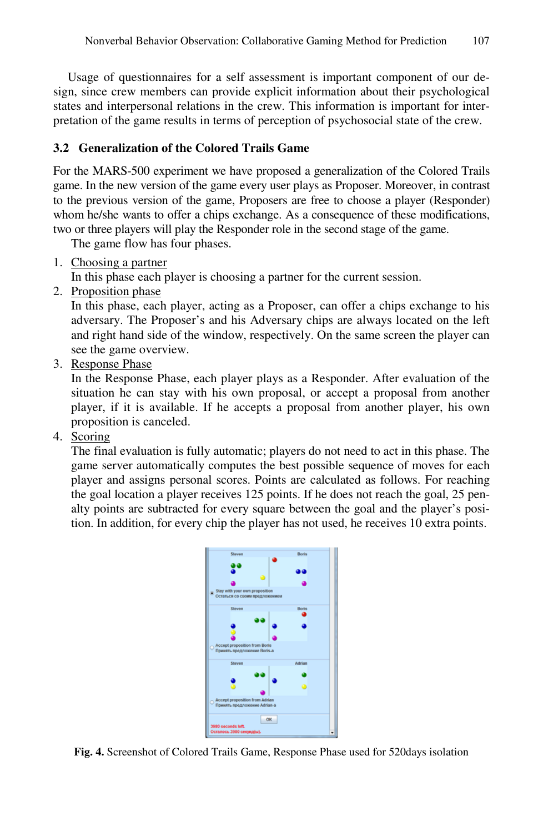Usage of questionnaires for a self assessment is important component of our design, since crew members can provide explicit information about their psychological states and interpersonal relations in the crew. This information is important for interpretation of the game results in terms of perception of psychosocial state of the crew.

### **3.2 Generalization of the Colored Trails Game**

For the MARS-500 experiment we have proposed a generalization of the Colored Trails game. In the new version of the game every user plays as Proposer. Moreover, in contrast to the previous version of the game, Proposers are free to choose a player (Responder) whom he/she wants to offer a chips exchange. As a consequence of these modifications, two or three players will play the Responder role in the second stage of the game.

The game flow has four phases.

1. Choosing a partner

In this phase each player is choosing a partner for the current session.

2. Proposition phase

In this phase, each player, acting as a Proposer, can offer a chips exchange to his adversary. The Proposer's and his Adversary chips are always located on the left and right hand side of the window, respectively. On the same screen the player can see the game overview.

3. Response Phase

In the Response Phase, each player plays as a Responder. After evaluation of the situation he can stay with his own proposal, or accept a proposal from another player, if it is available. If he accepts a proposal from another player, his own proposition is canceled.

4. Scoring

The final evaluation is fully automatic; players do not need to act in this phase. The game server automatically computes the best possible sequence of moves for each player and assigns personal scores. Points are calculated as follows. For reaching the goal location a player receives 125 points. If he does not reach the goal, 25 penalty points are subtracted for every square between the goal and the player's position. In addition, for every chip the player has not used, he receives 10 extra points.



**Fig. 4.** Screenshot of Colored Trails Game, Response Phase used for 520days isolation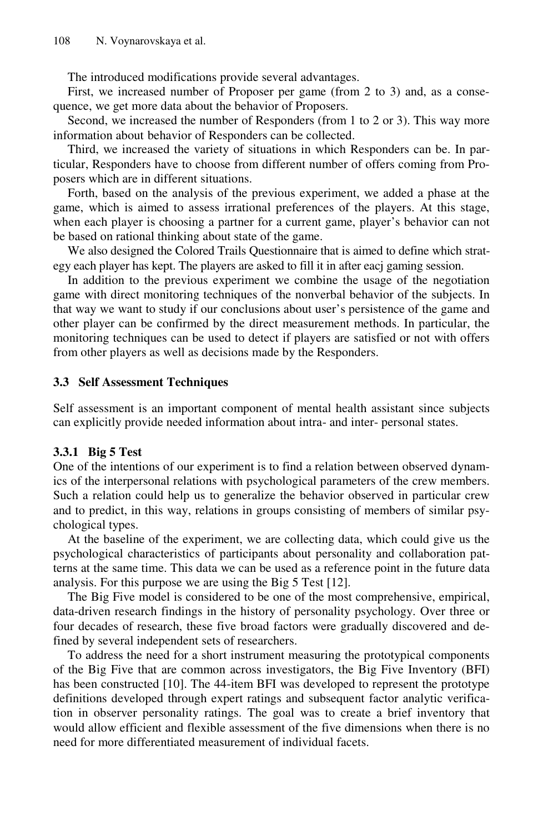The introduced modifications provide several advantages.

First, we increased number of Proposer per game (from 2 to 3) and, as a consequence, we get more data about the behavior of Proposers.

Second, we increased the number of Responders (from 1 to 2 or 3). This way more information about behavior of Responders can be collected.

Third, we increased the variety of situations in which Responders can be. In particular, Responders have to choose from different number of offers coming from Proposers which are in different situations.

Forth, based on the analysis of the previous experiment, we added a phase at the game, which is aimed to assess irrational preferences of the players. At this stage, when each player is choosing a partner for a current game, player's behavior can not be based on rational thinking about state of the game.

We also designed the Colored Trails Questionnaire that is aimed to define which strategy each player has kept. The players are asked to fill it in after eacj gaming session.

In addition to the previous experiment we combine the usage of the negotiation game with direct monitoring techniques of the nonverbal behavior of the subjects. In that way we want to study if our conclusions about user's persistence of the game and other player can be confirmed by the direct measurement methods. In particular, the monitoring techniques can be used to detect if players are satisfied or not with offers from other players as well as decisions made by the Responders.

#### **3.3 Self Assessment Techniques**

Self assessment is an important component of mental health assistant since subjects can explicitly provide needed information about intra- and inter- personal states.

#### **3.3.1 Big 5 Test**

One of the intentions of our experiment is to find a relation between observed dynamics of the interpersonal relations with psychological parameters of the crew members. Such a relation could help us to generalize the behavior observed in particular crew and to predict, in this way, relations in groups consisting of members of similar psychological types.

At the baseline of the experiment, we are collecting data, which could give us the psychological characteristics of participants about personality and collaboration patterns at the same time. This data we can be used as a reference point in the future data analysis. For this purpose we are using the Big 5 Test [12].

The Big Five model is considered to be one of the most comprehensive, empirical, data-driven research findings in the history of personality psychology. Over three or four decades of research, these five broad factors were gradually discovered and defined by several independent sets of researchers.

To address the need for a short instrument measuring the prototypical components of the Big Five that are common across investigators, the Big Five Inventory (BFI) has been constructed [10]. The 44-item BFI was developed to represent the prototype definitions developed through expert ratings and subsequent factor analytic verification in observer personality ratings. The goal was to create a brief inventory that would allow efficient and flexible assessment of the five dimensions when there is no need for more differentiated measurement of individual facets.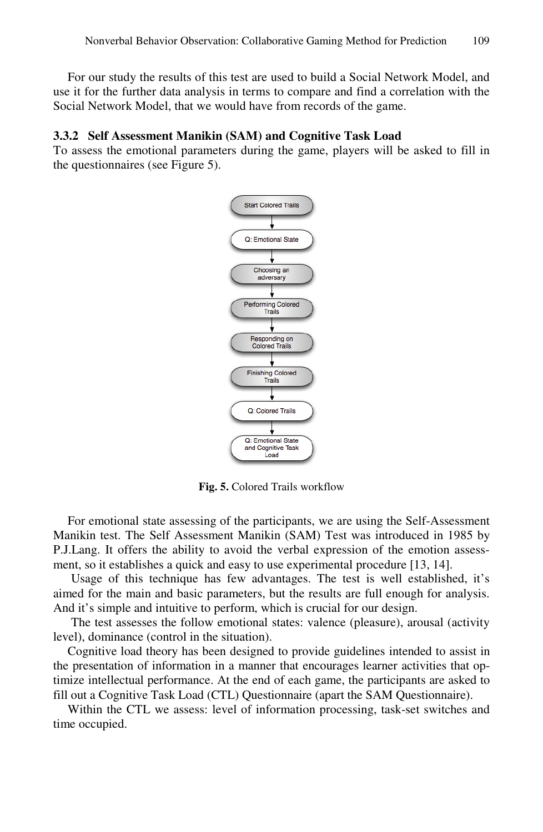For our study the results of this test are used to build a Social Network Model, and use it for the further data analysis in terms to compare and find a correlation with the Social Network Model, that we would have from records of the game.

#### **3.3.2 Self Assessment Manikin (SAM) and Cognitive Task Load**

To assess the emotional parameters during the game, players will be asked to fill in the questionnaires (see Figure 5).



**Fig. 5.** Colored Trails workflow

For emotional state assessing of the participants, we are using the Self-Assessment Manikin test. The Self Assessment Manikin (SAM) Test was introduced in 1985 by P.J.Lang. It offers the ability to avoid the verbal expression of the emotion assessment, so it establishes a quick and easy to use experimental procedure [13, 14].

Usage of this technique has few advantages. The test is well established, it's aimed for the main and basic parameters, but the results are full enough for analysis. And it's simple and intuitive to perform, which is crucial for our design.

The test assesses the follow emotional states: valence (pleasure), arousal (activity level), dominance (control in the situation).

Cognitive load theory has been designed to provide guidelines intended to assist in the presentation of information in a manner that encourages learner activities that optimize intellectual performance. At the end of each game, the participants are asked to fill out a Cognitive Task Load (CTL) Questionnaire (apart the SAM Questionnaire).

Within the CTL we assess: level of information processing, task-set switches and time occupied.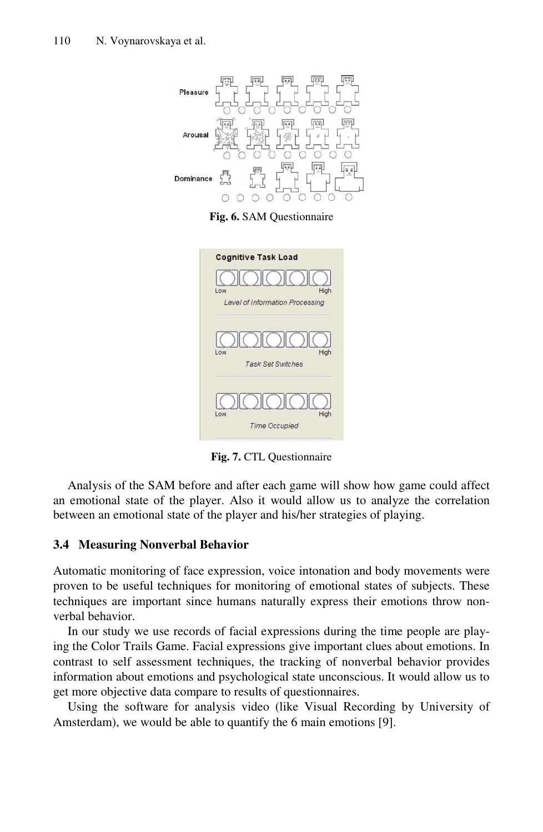

**Fig. 6.** SAM Questionnaire



**Fig. 7.** CTL Questionnaire

Analysis of the SAM before and after each game will show how game could affect an emotional state of the player. Also it would allow us to analyze the correlation between an emotional state of the player and his/her strategies of playing.

### **3.4 Measuring Nonverbal Behavior**

Automatic monitoring of face expression, voice intonation and body movements were proven to be useful techniques for monitoring of emotional states of subjects. These techniques are important since humans naturally express their emotions throw nonverbal behavior.

In our study we use records of facial expressions during the time people are playing the Color Trails Game. Facial expressions give important clues about emotions. In contrast to self assessment techniques, the tracking of nonverbal behavior provides information about emotions and psychological state unconscious. It would allow us to get more objective data compare to results of questionnaires.

Using the software for analysis video (like Visual Recording by University of Amsterdam), we would be able to quantify the 6 main emotions [9].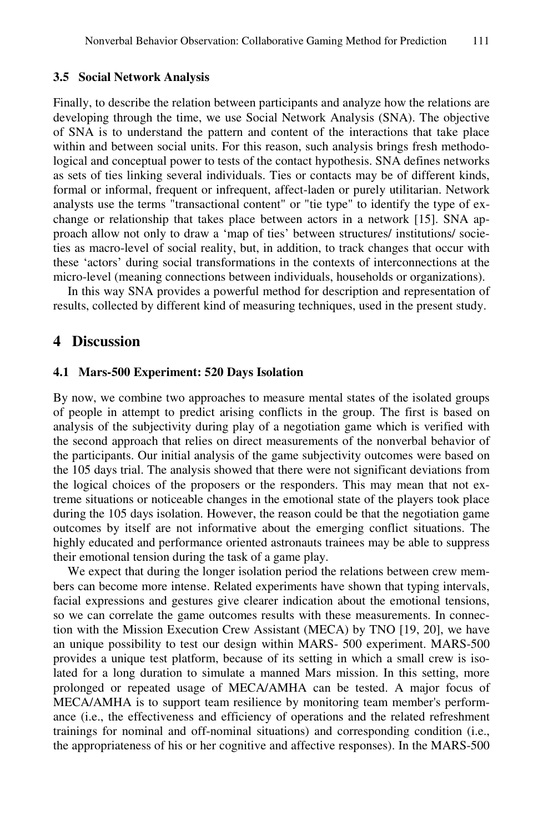#### **3.5 Social Network Analysis**

Finally, to describe the relation between participants and analyze how the relations are developing through the time, we use Social Network Analysis (SNA). The objective of SNA is to understand the pattern and content of the interactions that take place within and between social units. For this reason, such analysis brings fresh methodological and conceptual power to tests of the contact hypothesis. SNA defines networks as sets of ties linking several individuals. Ties or contacts may be of different kinds, formal or informal, frequent or infrequent, affect-laden or purely utilitarian. Network analysts use the terms "transactional content" or "tie type" to identify the type of exchange or relationship that takes place between actors in a network [15]. SNA approach allow not only to draw a 'map of ties' between structures/ institutions/ societies as macro-level of social reality, but, in addition, to track changes that occur with these 'actors' during social transformations in the contexts of interconnections at the micro-level (meaning connections between individuals, households or organizations).

In this way SNA provides a powerful method for description and representation of results, collected by different kind of measuring techniques, used in the present study.

### **4 Discussion**

#### **4.1 Mars-500 Experiment: 520 Days Isolation**

By now, we combine two approaches to measure mental states of the isolated groups of people in attempt to predict arising conflicts in the group. The first is based on analysis of the subjectivity during play of a negotiation game which is verified with the second approach that relies on direct measurements of the nonverbal behavior of the participants. Our initial analysis of the game subjectivity outcomes were based on the 105 days trial. The analysis showed that there were not significant deviations from the logical choices of the proposers or the responders. This may mean that not extreme situations or noticeable changes in the emotional state of the players took place during the 105 days isolation. However, the reason could be that the negotiation game outcomes by itself are not informative about the emerging conflict situations. The highly educated and performance oriented astronauts trainees may be able to suppress their emotional tension during the task of a game play.

We expect that during the longer isolation period the relations between crew members can become more intense. Related experiments have shown that typing intervals, facial expressions and gestures give clearer indication about the emotional tensions, so we can correlate the game outcomes results with these measurements. In connection with the Mission Execution Crew Assistant (MECA) by TNO [19, 20], we have an unique possibility to test our design within MARS- 500 experiment. MARS-500 provides a unique test platform, because of its setting in which a small crew is isolated for a long duration to simulate a manned Mars mission. In this setting, more prolonged or repeated usage of MECA/AMHA can be tested. A major focus of MECA/AMHA is to support team resilience by monitoring team member's performance (i.e., the effectiveness and efficiency of operations and the related refreshment trainings for nominal and off-nominal situations) and corresponding condition (i.e., the appropriateness of his or her cognitive and affective responses). In the MARS-500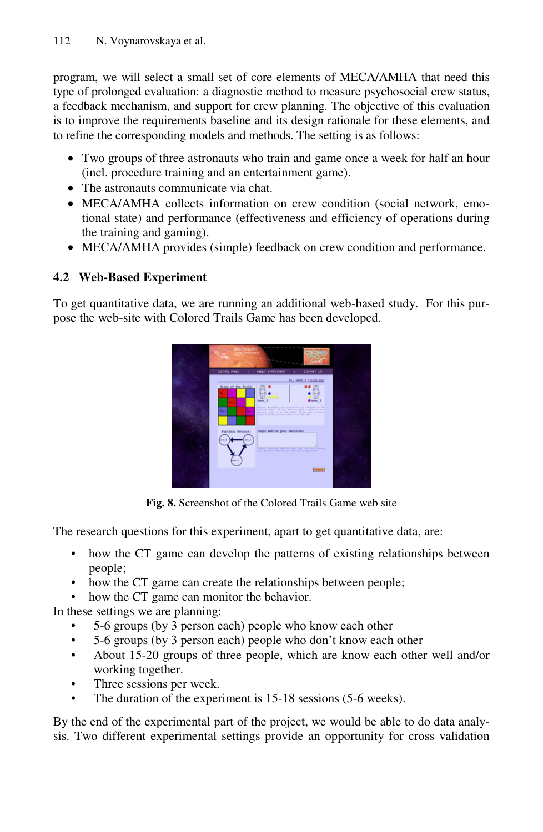program, we will select a small set of core elements of MECA/AMHA that need this type of prolonged evaluation: a diagnostic method to measure psychosocial crew status, a feedback mechanism, and support for crew planning. The objective of this evaluation is to improve the requirements baseline and its design rationale for these elements, and to refine the corresponding models and methods. The setting is as follows:

- Two groups of three astronauts who train and game once a week for half an hour (incl. procedure training and an entertainment game).
- The astronauts communicate via chat.
- MECA/AMHA collects information on crew condition (social network, emotional state) and performance (effectiveness and efficiency of operations during the training and gaming).
- MECA/AMHA provides (simple) feedback on crew condition and performance.

## **4.2 Web-Based Experiment**

To get quantitative data, we are running an additional web-based study. For this purpose the web-site with Colored Trails Game has been developed.



**Fig. 8.** Screenshot of the Colored Trails Game web site

The research questions for this experiment, apart to get quantitative data, are:

- how the CT game can develop the patterns of existing relationships between people;
- how the CT game can create the relationships between people;
- how the CT game can monitor the behavior.

In these settings we are planning:

- 5-6 groups (by 3 person each) people who know each other
- 5-6 groups (by 3 person each) people who don't know each other
- About 15-20 groups of three people, which are know each other well and/or working together.
- Three sessions per week.
- The duration of the experiment is 15-18 sessions (5-6 weeks).

By the end of the experimental part of the project, we would be able to do data analysis. Two different experimental settings provide an opportunity for cross validation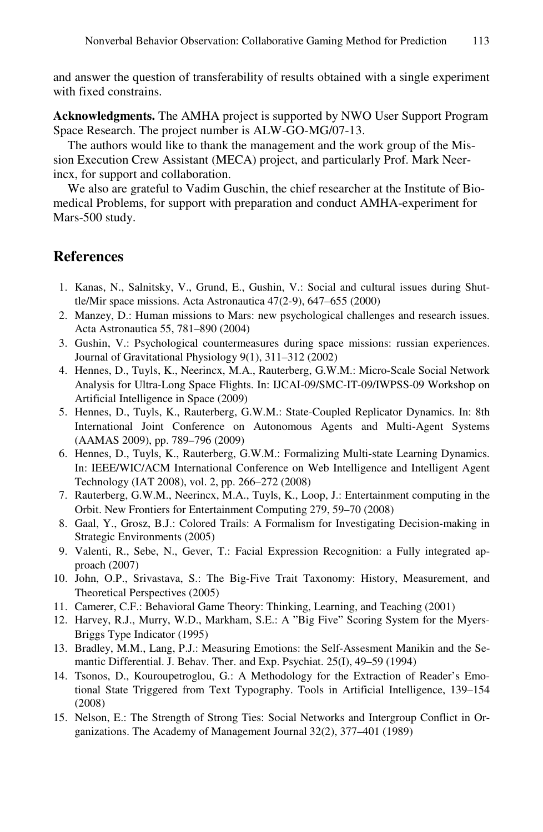and answer the question of transferability of results obtained with a single experiment with fixed constrains.

**Acknowledgments.** The AMHA project is supported by NWO User Support Program Space Research. The project number is ALW-GO-MG/07-13.

The authors would like to thank the management and the work group of the Mission Execution Crew Assistant (MECA) project, and particularly Prof. Mark Neerincx, for support and collaboration.

We also are grateful to Vadim Guschin, the chief researcher at the Institute of Biomedical Problems, for support with preparation and conduct AMHA-experiment for Mars-500 study.

## **References**

- 1. Kanas, N., Salnitsky, V., Grund, E., Gushin, V.: Social and cultural issues during Shuttle/Mir space missions. Acta Astronautica 47(2-9), 647–655 (2000)
- 2. Manzey, D.: Human missions to Mars: new psychological challenges and research issues. Acta Astronautica 55, 781–890 (2004)
- 3. Gushin, V.: Psychological countermeasures during space missions: russian experiences. Journal of Gravitational Physiology 9(1), 311–312 (2002)
- 4. Hennes, D., Tuyls, K., Neerincx, M.A., Rauterberg, G.W.M.: Micro-Scale Social Network Analysis for Ultra-Long Space Flights. In: IJCAI-09/SMC-IT-09/IWPSS-09 Workshop on Artificial Intelligence in Space (2009)
- 5. Hennes, D., Tuyls, K., Rauterberg, G.W.M.: State-Coupled Replicator Dynamics. In: 8th International Joint Conference on Autonomous Agents and Multi-Agent Systems (AAMAS 2009), pp. 789–796 (2009)
- 6. Hennes, D., Tuyls, K., Rauterberg, G.W.M.: Formalizing Multi-state Learning Dynamics. In: IEEE/WIC/ACM International Conference on Web Intelligence and Intelligent Agent Technology (IAT 2008), vol. 2, pp. 266–272 (2008)
- 7. Rauterberg, G.W.M., Neerincx, M.A., Tuyls, K., Loop, J.: Entertainment computing in the Orbit. New Frontiers for Entertainment Computing 279, 59–70 (2008)
- 8. Gaal, Y., Grosz, B.J.: Colored Trails: A Formalism for Investigating Decision-making in Strategic Environments (2005)
- 9. Valenti, R., Sebe, N., Gever, T.: Facial Expression Recognition: a Fully integrated approach (2007)
- 10. John, O.P., Srivastava, S.: The Big-Five Trait Taxonomy: History, Measurement, and Theoretical Perspectives (2005)
- 11. Camerer, C.F.: Behavioral Game Theory: Thinking, Learning, and Teaching (2001)
- 12. Harvey, R.J., Murry, W.D., Markham, S.E.: A "Big Five" Scoring System for the Myers-Briggs Type Indicator (1995)
- 13. Bradley, M.M., Lang, P.J.: Measuring Emotions: the Self-Assesment Manikin and the Semantic Differential. J. Behav. Ther. and Exp. Psychiat. 25(I), 49–59 (1994)
- 14. Tsonos, D., Kouroupetroglou, G.: A Methodology for the Extraction of Reader's Emotional State Triggered from Text Typography. Tools in Artificial Intelligence, 139–154 (2008)
- 15. Nelson, E.: The Strength of Strong Ties: Social Networks and Intergroup Conflict in Organizations. The Academy of Management Journal 32(2), 377–401 (1989)